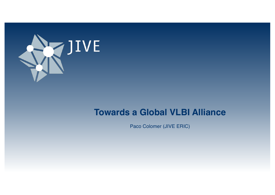

## **Towards a Global VLBI Alliance**

Paco Colomer (JIVE ERIC)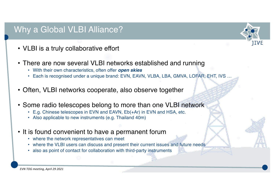## Why a Global VLBI Alliance?

- VLBI is a truly collaborative effort
- There are now several VLBI networks established and running
	- With their own characteristics, often offer *open skies*
	- Each is recognised under a unique brand: EVN, EAVN, VLBA, LBA, GMVA, LOFAR, EHT, IVS ...

IIVE

- Often, VLBI networks cooperate, also observe together
- Some radio telescopes belong to more than one VLBI network
	- E.g. Chinese telescopes in EVN and EAVN, Eb(+Ar) in EVN and HSA, etc.
	- Also applicable to new instruments (e.g. Thailand 40m)
- It is found convenient to have a permanent forum
	- where the network representatives can meet
	- where the VLBI users can discuss and present their current issues and future needs
	- also as point of contact for collaboration with third-party instruments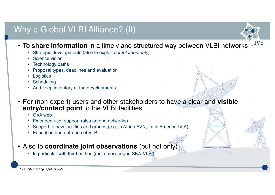# Why a Global VLBI Alliance? (II)



- To **share information** in a timely and structured way between VLBI networks
	- Strategic developments (also to exploit *complementarity*)
	- Science vision
	- Technology paths
	- Proposal types, deadlines and evaluation
	- Logistics
	- Scheduling
	- And keep inventory of the developments
- For (non-expert) users and other stakeholders to have a clear and **visible entry/contact point** to the VLBI facilities
	- GVA web
	- Extended user support (also among networks)
	- Support to new facilities and groups (e.g. in Africa-AVN, Latin America-IVIA)
	- Education and outreach of VLBI
- Also to **coordinate joint observations** (but not only)
	- In particular with third parties (multi-messenger, SKA-VLBI)

*EVN TOG meeting, April 29 2021*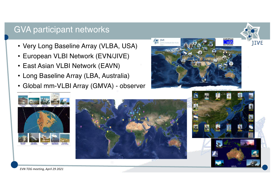## GVA participant networks

- Very Long Baseline Array (VLBA, USA)
- European VLBI Network (EVN/JIVE)
- East Asian VLBI Network (EAVN)
- Long Baseline Array (LBA, Australia)
- Global mm-VLBI Array (GMVA) observer









**JIVE** 

*EVN TOG meeting, April 29 2021*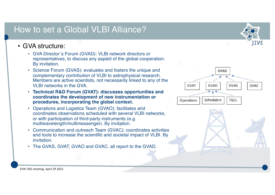## How to set a Global VLBI Alliance?

#### • GVA structure:

- GVA Director´s Forum (GVAD): VLBI network directors or representatives, to discuss any aspect of the global cooperation. By invitation.
- Science Forum (GVAS): evaluates and fosters the unique and complementary contribution of VLBI to astrophysical research. Members are active scientists, not necessarily linked to any of the VI BI networks in the GVA
- **Technical R&D Forum (GVAT): discusses opportunities and coordinates the development of new instrumentation or procedures, incorporating the global context.**
- Operations and Logistics Team (GVAO): facilitates and coordinates observations scheduled with several VLBI networks, or with participation of third-party instruments (e.g. multiwavelength/multimessenger). By invitation.
- Communication and outreach Team (GVAC): coordinates activities and tools to increase the scientific and societal impact of VLBI. By invitation.
- The GVAS, GVAT, GVAO and GVAC, all report to the GVAD.



1IVE